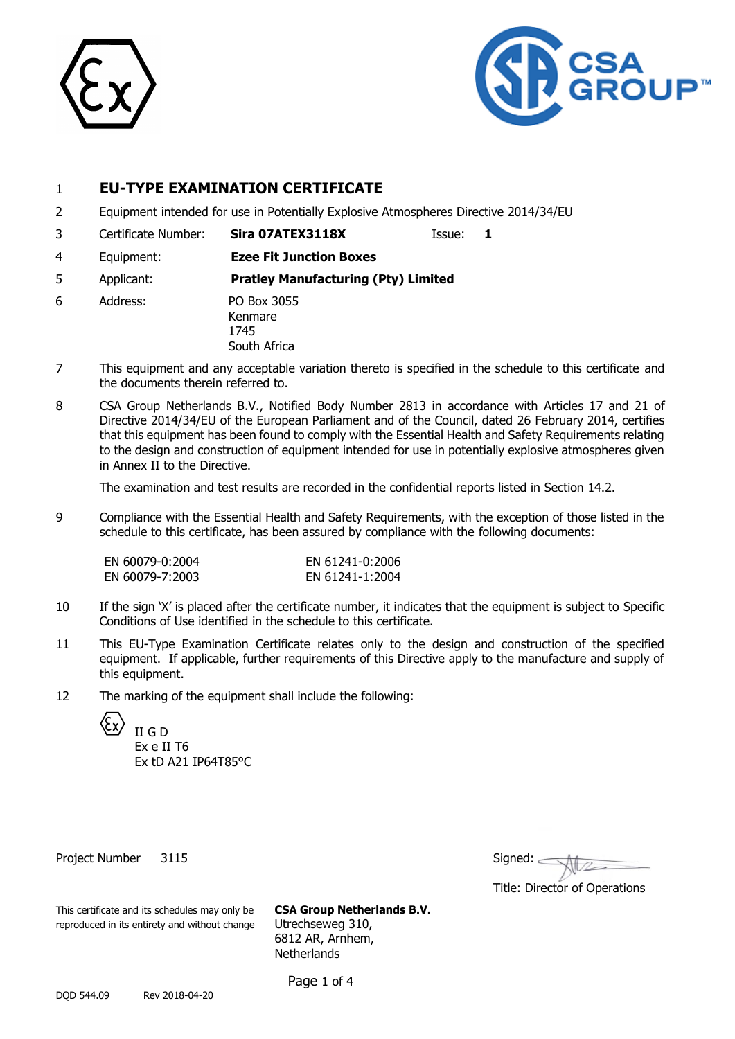



### 1 **EU-TYPE EXAMINATION CERTIFICATE**

- 2 Equipment intended for use in Potentially Explosive Atmospheres Directive 2014/34/EU
- 3 Certificate Number: **Sira 07ATEX3118X** Issue: **1**

4 Equipment: **Ezee Fit Junction Boxes**

5 Applicant: **Pratley Manufacturing (Pty) Limited**

- 6 Address: PO Box 3055 Kenmare 1745 South Africa
- 7 This equipment and any acceptable variation thereto is specified in the schedule to this certificate and the documents therein referred to.
- 8 CSA Group Netherlands B.V., Notified Body Number 2813 in accordance with Articles 17 and 21 of Directive 2014/34/EU of the European Parliament and of the Council, dated 26 February 2014, certifies that this equipment has been found to comply with the Essential Health and Safety Requirements relating to the design and construction of equipment intended for use in potentially explosive atmospheres given in Annex II to the Directive.

The examination and test results are recorded in the confidential reports listed in Section 14.2.

9 Compliance with the Essential Health and Safety Requirements, with the exception of those listed in the schedule to this certificate, has been assured by compliance with the following documents:

| EN 60079-0:2004 | EN 61241-0:2006 |
|-----------------|-----------------|
| EN 60079-7:2003 | EN 61241-1:2004 |

- 10 If the sign 'X' is placed after the certificate number, it indicates that the equipment is subject to Specific Conditions of Use identified in the schedule to this certificate.
- 11 This EU-Type Examination Certificate relates only to the design and construction of the specified equipment. If applicable, further requirements of this Directive apply to the manufacture and supply of this equipment.
- 12 The marking of the equipment shall include the following:

II G D

Ex e II T6 Ex tD A21 IP64T85°C

Project Number 3115

| Signed: |  |
|---------|--|
|         |  |

Title: Director of Operations

This certificate and its schedules may only be **CSA Group Netherlands B.V.** reproduced in its entirety and without change Utrechseweg 310,

6812 AR, Arnhem, **Netherlands** 

Page 1 of 4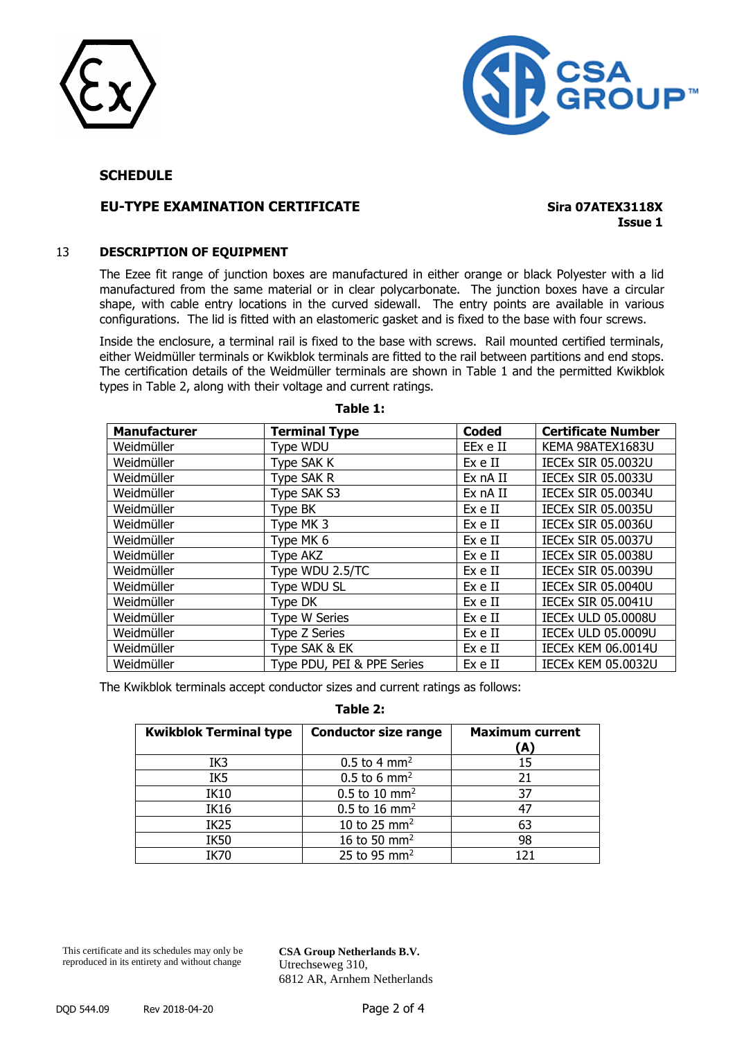



#### **SCHEDULE**

#### **EU-TYPE EXAMINATION CERTIFICATE Sira 07ATEX3118X**

**Issue 1**

#### 13 **DESCRIPTION OF EQUIPMENT**

The Ezee fit range of junction boxes are manufactured in either orange or black Polyester with a lid manufactured from the same material or in clear polycarbonate. The junction boxes have a circular shape, with cable entry locations in the curved sidewall. The entry points are available in various configurations. The lid is fitted with an elastomeric gasket and is fixed to the base with four screws.

Inside the enclosure, a terminal rail is fixed to the base with screws. Rail mounted certified terminals, either Weidmüller terminals or Kwikblok terminals are fitted to the rail between partitions and end stops. The certification details of the Weidmüller terminals are shown in Table 1 and the permitted Kwikblok types in Table 2, along with their voltage and current ratings.

| <b>Manufacturer</b> | <b>Terminal Type</b>       | <b>Coded</b> | <b>Certificate Number</b> |
|---------------------|----------------------------|--------------|---------------------------|
| Weidmüller          | Type WDU                   | EEx e II     | KEMA 98ATEX1683U          |
| Weidmüller          | Type SAK K                 | Ex e II      | <b>IECEX SIR 05.0032U</b> |
| Weidmüller          | Type SAK R                 | Ex nA II     | <b>IECEX SIR 05.0033U</b> |
| Weidmüller          | Type SAK S3                | Ex nA II     | <b>IECEX SIR 05.0034U</b> |
| Weidmüller          | Type BK                    | Ex e II      | <b>IECEX SIR 05.0035U</b> |
| Weidmüller          | Type MK 3                  | Ex e II      | <b>IECEX SIR 05.0036U</b> |
| Weidmüller          | Type MK 6                  | Ex e II      | <b>IECEX SIR 05.0037U</b> |
| Weidmüller          | Type AKZ                   | Ex e II      | <b>IECEX SIR 05.0038U</b> |
| Weidmüller          | Type WDU 2.5/TC            | Ex e II      | <b>IECEX SIR 05.0039U</b> |
| Weidmüller          | Type WDU SL                | Ex e II      | <b>IECEX SIR 05.0040U</b> |
| Weidmüller          | Type DK                    | Ex e II      | <b>IECEX SIR 05.0041U</b> |
| Weidmüller          | <b>Type W Series</b>       | Ex e II      | <b>IECEX ULD 05.0008U</b> |
| Weidmüller          | Type Z Series              | Ex e II      | <b>IECEX ULD 05.0009U</b> |
| Weidmüller          | Type SAK & EK              | Ex e II      | <b>IECEX KEM 06.0014U</b> |
| Weidmüller          | Type PDU, PEI & PPE Series | Ex e II      | <b>IECEX KEM 05.0032U</b> |

**Table 1:**

The Kwikblok terminals accept conductor sizes and current ratings as follows:

| <b>Kwikblok Terminal type</b> | <b>Conductor size range</b> | <b>Maximum current</b><br>(A) |
|-------------------------------|-----------------------------|-------------------------------|
| IK3                           | $0.5$ to 4 mm <sup>2</sup>  | 15                            |
| IK5                           | $0.5$ to 6 mm <sup>2</sup>  | 21                            |
| <b>IK10</b>                   | $0.5$ to 10 mm <sup>2</sup> | 37                            |
| <b>IK16</b>                   | $0.5$ to 16 mm <sup>2</sup> | -47                           |
| IK <sub>25</sub>              | 10 to 25 mm <sup>2</sup>    | 63                            |
| <b>IK50</b>                   | 16 to 50 mm <sup>2</sup>    | 98                            |
| IK70                          | 25 to 95 mm <sup>2</sup>    |                               |

**Table 2:**

This certificate and its schedules may only be reproduced in its entirety and without change

**CSA Group Netherlands B.V.** Utrechseweg 310, 6812 AR, Arnhem Netherlands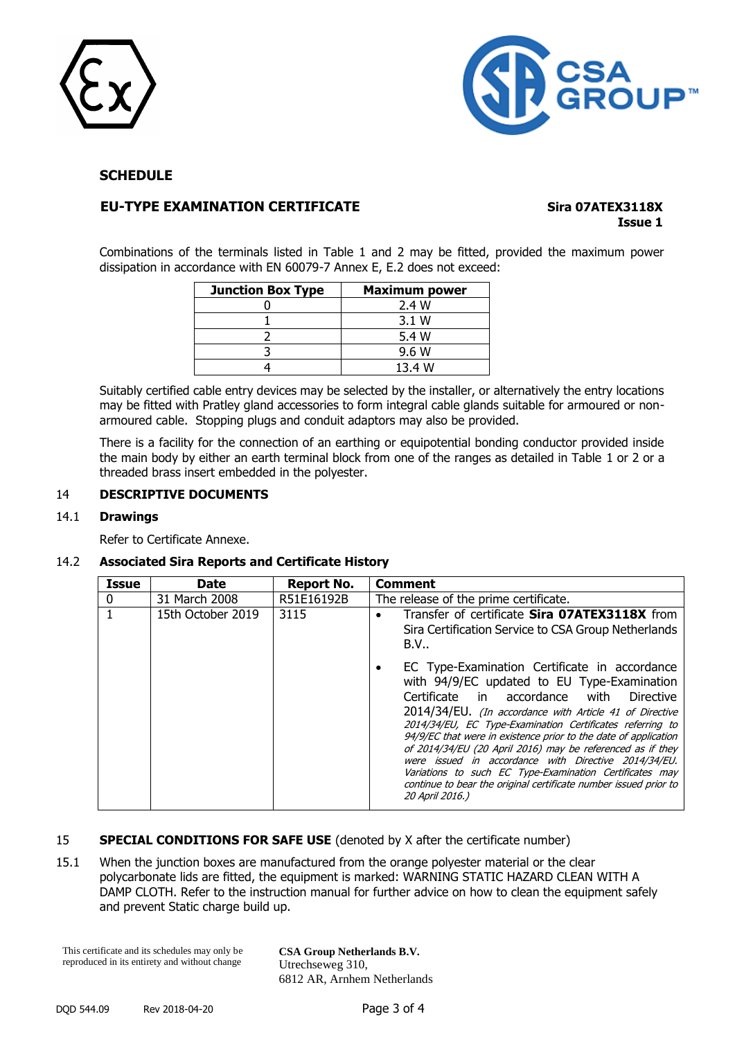



#### **SCHEDULE**

#### **EU-TYPE EXAMINATION CERTIFICATE Sira 07ATEX3118X**

# **Issue 1**

Combinations of the terminals listed in Table 1 and 2 may be fitted, provided the maximum power dissipation in accordance with EN 60079-7 Annex E, E.2 does not exceed:

| <b>Junction Box Type</b> | <b>Maximum power</b> |
|--------------------------|----------------------|
|                          | 2.4 W                |
|                          | 3.1 W                |
|                          | 5.4 W                |
|                          | 9.6 W                |
|                          | 13.4 W               |

Suitably certified cable entry devices may be selected by the installer, or alternatively the entry locations may be fitted with Pratley gland accessories to form integral cable glands suitable for armoured or nonarmoured cable. Stopping plugs and conduit adaptors may also be provided.

There is a facility for the connection of an earthing or equipotential bonding conductor provided inside the main body by either an earth terminal block from one of the ranges as detailed in Table 1 or 2 or a threaded brass insert embedded in the polyester.

#### 14 **DESCRIPTIVE DOCUMENTS**

#### 14.1 **Drawings**

Refer to Certificate Annexe.

#### 14.2 **Associated Sira Reports and Certificate History**

| Issue    | <b>Date</b>       | Report No. | <b>Comment</b>                                                                                                                                                                                                                                                                                                                                                                                                                                                                                                                                                                                                         |
|----------|-------------------|------------|------------------------------------------------------------------------------------------------------------------------------------------------------------------------------------------------------------------------------------------------------------------------------------------------------------------------------------------------------------------------------------------------------------------------------------------------------------------------------------------------------------------------------------------------------------------------------------------------------------------------|
| $\Omega$ | 31 March 2008     | R51E16192B | The release of the prime certificate.                                                                                                                                                                                                                                                                                                                                                                                                                                                                                                                                                                                  |
|          | 15th October 2019 | 3115       | Transfer of certificate Sira 07ATEX3118X from<br>$\bullet$<br>Sira Certification Service to CSA Group Netherlands<br>B.V                                                                                                                                                                                                                                                                                                                                                                                                                                                                                               |
|          |                   |            | EC Type-Examination Certificate in accordance<br>٠<br>with 94/9/EC updated to EU Type-Examination<br>Certificate in accordance<br>Directive<br>with<br>2014/34/EU. (In accordance with Article 41 of Directive<br>2014/34/EU, EC Type-Examination Certificates referring to<br>94/9/EC that were in existence prior to the date of application<br>of 2014/34/EU (20 April 2016) may be referenced as if they<br>were issued in accordance with Directive 2014/34/EU.<br>Variations to such EC Type-Examination Certificates may<br>continue to bear the original certificate number issued prior to<br>20 April 2016.) |

#### 15 **SPECIAL CONDITIONS FOR SAFE USE** (denoted by X after the certificate number)

15.1 When the junction boxes are manufactured from the orange polyester material or the clear polycarbonate lids are fitted, the equipment is marked: WARNING STATIC HAZARD CLEAN WITH A DAMP CLOTH. Refer to the instruction manual for further advice on how to clean the equipment safely and prevent Static charge build up.

This certificate and its schedules may only be reproduced in its entirety and without change

**CSA Group Netherlands B.V.** Utrechseweg 310, 6812 AR, Arnhem Netherlands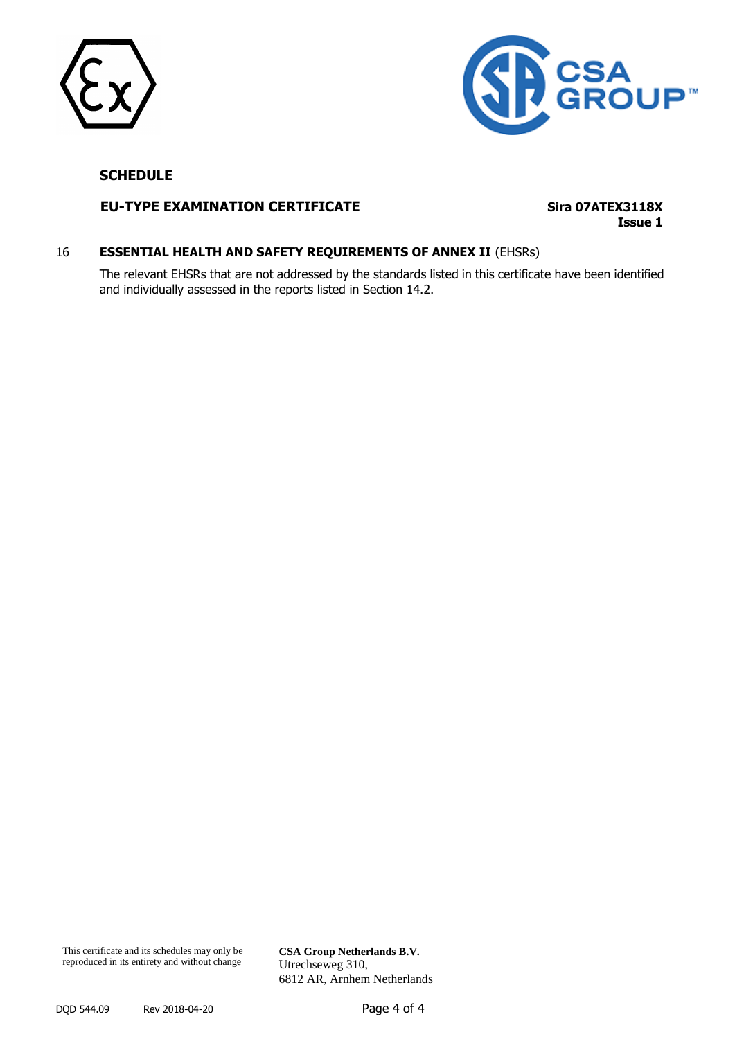



#### **SCHEDULE**

#### **EU-TYPE EXAMINATION CERTIFICATE Sira 07ATEX3118X**

**Issue 1**

#### 16 **ESSENTIAL HEALTH AND SAFETY REQUIREMENTS OF ANNEX II** (EHSRs)

The relevant EHSRs that are not addressed by the standards listed in this certificate have been identified and individually assessed in the reports listed in Section 14.2.

This certificate and its schedules may only be reproduced in its entirety and without change

**CSA Group Netherlands B.V.** Utrechseweg 310, 6812 AR, Arnhem Netherlands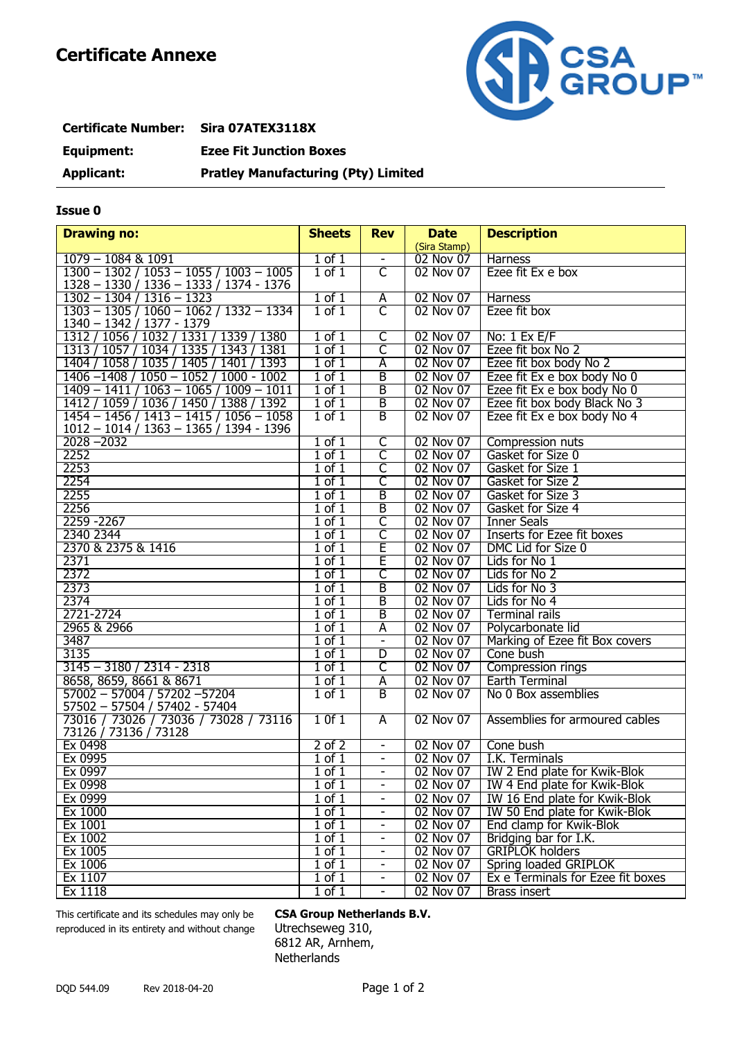

## **Certificate Number: Sira 07ATEX3118X Equipment: Ezee Fit Junction Boxes Applicant: Pratley Manufacturing (Pty) Limited**

#### **Issue 0**

| <b>Drawing no:</b>                                                                     | <b>Sheets</b>         | <b>Rev</b>               | <b>Date</b>  | <b>Description</b>                |
|----------------------------------------------------------------------------------------|-----------------------|--------------------------|--------------|-----------------------------------|
|                                                                                        |                       |                          | (Sira Stamp) |                                   |
| $1079 - 1084$ & 1091                                                                   | $1$ of $1$            |                          | 02 Nov 07    | <b>Harness</b>                    |
| $1300 - 1302 / 1053 - 1055 / 1003 - 1005$                                              | $1$ of $1$            | $\overline{\mathsf{C}}$  | 02 Nov 07    | Ezee fit Ex e box                 |
| 1328 - 1330 / 1336 - 1333 / 1374 - 1376                                                |                       |                          |              |                                   |
| $1302 - 1304 / 1316 - 1323$                                                            | $1$ of $1$            | A                        | 02 Nov 07    | Harness                           |
| $1303 - 1305 / 1060 - 1062 / 1332 - 1334$                                              | $1$ of $1$            | $\overline{\mathsf{C}}$  | 02 Nov 07    | Ezee fit box                      |
| 1340 - 1342 / 1377 - 1379                                                              |                       |                          |              |                                   |
| 1312 / 1056 / 1032 / 1331 / 1339 / 1380                                                | $1$ of $1$            | C                        | 02 Nov 07    | No: $1$ Ex E/F                    |
| 1313 / 1057 / 1034 / 1335 / 1343 / 1381                                                | $1$ of $1$            | C                        | 02 Nov 07    | Ezee fit box No 2                 |
| 1404 / 1058 / 1035 / 1405 / 1401 / 1393                                                | $1$ of $1$            | Ā                        | 02 Nov 07    | Ezee fit box body No 2            |
| $1406 - 1408 / 1050 - 1052 / 1000 - 1002$                                              | $1$ of $1$            | B                        | 02 Nov 07    | Ezee fit Ex e box body No 0       |
| $1409 - 1411/1063 - 1065/1009 - 1011$                                                  | $1$ of $1$            | B                        | 02 Nov 07    | Ezee fit Ex e box body No 0       |
| 1412 / 1059 / 1036 / 1450 / 1388 / 1392                                                | $1$ of $1$            | B                        | 02 Nov 07    | Ezee fit box body Black No 3      |
| $1454 - 1456 / 1413 - 1415 / 1056 - 1058$<br>$1012 - 1014 / 1363 - 1365 / 1394 - 1396$ | $1$ of $1$            | B                        | 02 Nov 07    | Ezee fit Ex e box body No 4       |
| $2028 - 2032$                                                                          | $1$ of $1$            | $\overline{\mathsf{C}}$  | 02 Nov 07    | Compression nuts                  |
| 2252                                                                                   | $1$ of $1$            | $\overline{\mathsf{C}}$  | 02 Nov 07    | Gasket for Size 0                 |
| 2253                                                                                   | $1$ of $1$            | $\overline{\mathsf{C}}$  | 02 Nov 07    | Gasket for Size 1                 |
| 2254                                                                                   | $1$ of $1$            | C                        | 02 Nov 07    | Gasket for Size 2                 |
| 2255                                                                                   | $1$ of $1$            | B                        | 02 Nov 07    | Gasket for Size 3                 |
| 2256                                                                                   | $1$ of $1$            | B                        | 02 Nov 07    | Gasket for Size 4                 |
| 2259 - 2267                                                                            | $1$ of $1$            | C                        | 02 Nov 07    | <b>Inner Seals</b>                |
| 2340 2344                                                                              | $1$ of $1$            | C                        | 02 Nov 07    | <b>Inserts for Ezee fit boxes</b> |
| 2370 & 2375 & 1416                                                                     | $1$ of $1$            | E                        | 02 Nov 07    | DMC Lid for Size 0                |
| 2371                                                                                   | $1$ of $1$            | Ē                        | 02 Nov 07    | Lids for No 1                     |
| 2372                                                                                   | $1$ of $1$            | C                        | 02 Nov 07    | Lids for No 2                     |
| 2373                                                                                   | $1$ of $1$            | $\overline{\mathsf{B}}$  | 02 Nov 07    | Lids for No 3                     |
| 2374                                                                                   | $1$ of $1$            | B                        | 02 Nov 07    | Lids for No 4                     |
| 2721-2724                                                                              | $\overline{1}$ of $1$ | B                        | 02 Nov 07    | <b>Terminal rails</b>             |
| 2965 & 2966                                                                            | $1$ of $1$            | Ā                        | 02 Nov 07    | Polycarbonate lid                 |
| 3487                                                                                   | $1$ of $1$            | $\blacksquare$           | 02 Nov 07    | Marking of Ezee fit Box covers    |
| 3135                                                                                   | $1$ of $1$            | D                        | 02 Nov 07    | Cone bush                         |
| 3145 - 3180 / 2314 - 2318                                                              | $1$ of $1$            | $\overline{\mathsf{C}}$  | 02 Nov 07    | Compression rings                 |
| 8658, 8659, 8661 & 8671                                                                | $1$ of $1$            | A                        | 02 Nov 07    | Earth Terminal                    |
| $57002 - 57004 / 57202 - 57204$                                                        | $1$ of $1$            | $\overline{B}$           | 02 Nov 07    | No 0 Box assemblies               |
| 57502 - 57504 / 57402 - 57404                                                          |                       |                          |              |                                   |
| 73016 / 73026 / 73036 / 73028 / 73116                                                  | 10f1                  | A                        | 02 Nov 07    | Assemblies for armoured cables    |
| 73126 / 73136 / 73128<br>Ex 0498                                                       | $2$ of $2$            | $\blacksquare$           | 02 Nov 07    | Cone bush                         |
| Ex 0995                                                                                | $1$ of $1$            | $\blacksquare$           | 02 Nov 07    | I.K. Terminals                    |
| Ex 0997                                                                                | $1$ of $1$            | $\overline{\phantom{a}}$ | 02 Nov 07    | IW 2 End plate for Kwik-Blok      |
| Ex 0998                                                                                | $1$ of $1$            | -                        | 02 Nov 07    | IW 4 End plate for Kwik-Blok      |
| Ex 0999                                                                                | $1$ of $1$            |                          | 02 Nov 07    | IW 16 End plate for Kwik-Blok     |
| Ex 1000                                                                                | $1$ of $1$            | $\blacksquare$           | 02 Nov 07    | IW 50 End plate for Kwik-Blok     |
| Ex 1001                                                                                | $1$ of $1$            | $\overline{\phantom{0}}$ | 02 Nov 07    | End clamp for Kwik-Blok           |
| Ex 1002                                                                                | $1$ of $1$            | -                        | 02 Nov 07    | Bridging bar for I.K.             |
| Ex 1005                                                                                | $1$ of $1$            | $\overline{\phantom{a}}$ | 02 Nov 07    | <b>GRIPLOK holders</b>            |
| Ex 1006                                                                                | $1$ of $1$            | $\overline{\phantom{0}}$ | 02 Nov 07    | Spring loaded GRIPLOK             |
| Ex 1107                                                                                | $1$ of $1$            | $\overline{\phantom{a}}$ | 02 Nov 07    | Ex e Terminals for Ezee fit boxes |
| Ex 1118                                                                                | $1$ of $1$            | $\blacksquare$           | 02 Nov 07    | Brass insert                      |
|                                                                                        |                       |                          |              |                                   |

This certificate and its schedules may only be **CSA Group Netherlands B.V.** reproduced in its entirety and without change Utrechseweg 310,

6812 AR, Arnhem, **Netherlands**